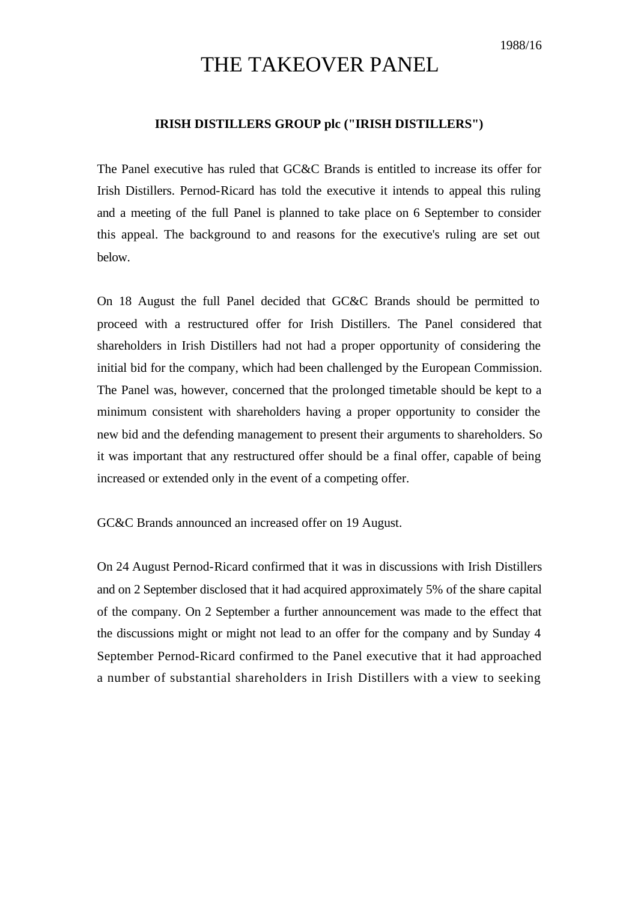## THE TAKEOVER PANEL

## **IRISH DISTILLERS GROUP plc ("IRISH DISTILLERS")**

The Panel executive has ruled that GC&C Brands is entitled to increase its offer for Irish Distillers. Pernod-Ricard has told the executive it intends to appeal this ruling and a meeting of the full Panel is planned to take place on 6 September to consider this appeal. The background to and reasons for the executive's ruling are set out below.

On 18 August the full Panel decided that GC&C Brands should be permitted to proceed with a restructured offer for Irish Distillers. The Panel considered that shareholders in Irish Distillers had not had a proper opportunity of considering the initial bid for the company, which had been challenged by the European Commission. The Panel was, however, concerned that the prolonged timetable should be kept to a minimum consistent with shareholders having a proper opportunity to consider the new bid and the defending management to present their arguments to shareholders. So it was important that any restructured offer should be a final offer, capable of being increased or extended only in the event of a competing offer.

GC&C Brands announced an increased offer on 19 August.

On 24 August Pernod-Ricard confirmed that it was in discussions with Irish Distillers and on 2 September disclosed that it had acquired approximately 5% of the share capital of the company. On 2 September a further announcement was made to the effect that the discussions might or might not lead to an offer for the company and by Sunday 4 September Pernod-Ricard confirmed to the Panel executive that it had approached a number of substantial shareholders in Irish Distillers with a view to seeking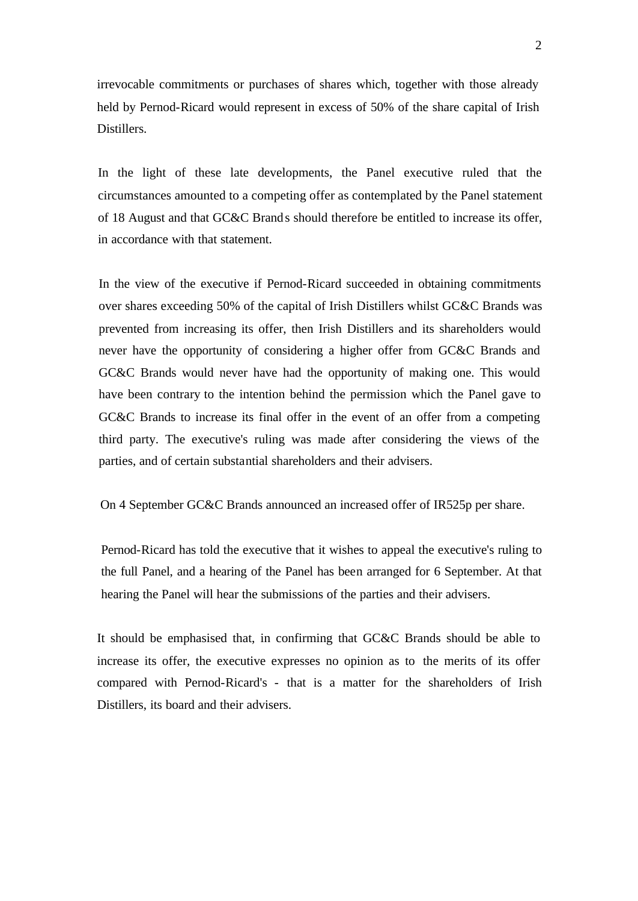irrevocable commitments or purchases of shares which, together with those already held by Pernod-Ricard would represent in excess of 50% of the share capital of Irish Distillers.

In the light of these late developments, the Panel executive ruled that the circumstances amounted to a competing offer as contemplated by the Panel statement of 18 August and that GC&C Brands should therefore be entitled to increase its offer, in accordance with that statement.

In the view of the executive if Pernod-Ricard succeeded in obtaining commitments over shares exceeding 50% of the capital of Irish Distillers whilst GC&C Brands was prevented from increasing its offer, then Irish Distillers and its shareholders would never have the opportunity of considering a higher offer from GC&C Brands and GC&C Brands would never have had the opportunity of making one. This would have been contrary to the intention behind the permission which the Panel gave to GC&C Brands to increase its final offer in the event of an offer from a competing third party. The executive's ruling was made after considering the views of the parties, and of certain substantial shareholders and their advisers.

On 4 September GC&C Brands announced an increased offer of IR525p per share.

Pernod-Ricard has told the executive that it wishes to appeal the executive's ruling to the full Panel, and a hearing of the Panel has been arranged for 6 September. At that hearing the Panel will hear the submissions of the parties and their advisers.

It should be emphasised that, in confirming that GC&C Brands should be able to increase its offer, the executive expresses no opinion as to the merits of its offer compared with Pernod-Ricard's - that is a matter for the shareholders of Irish Distillers, its board and their advisers.